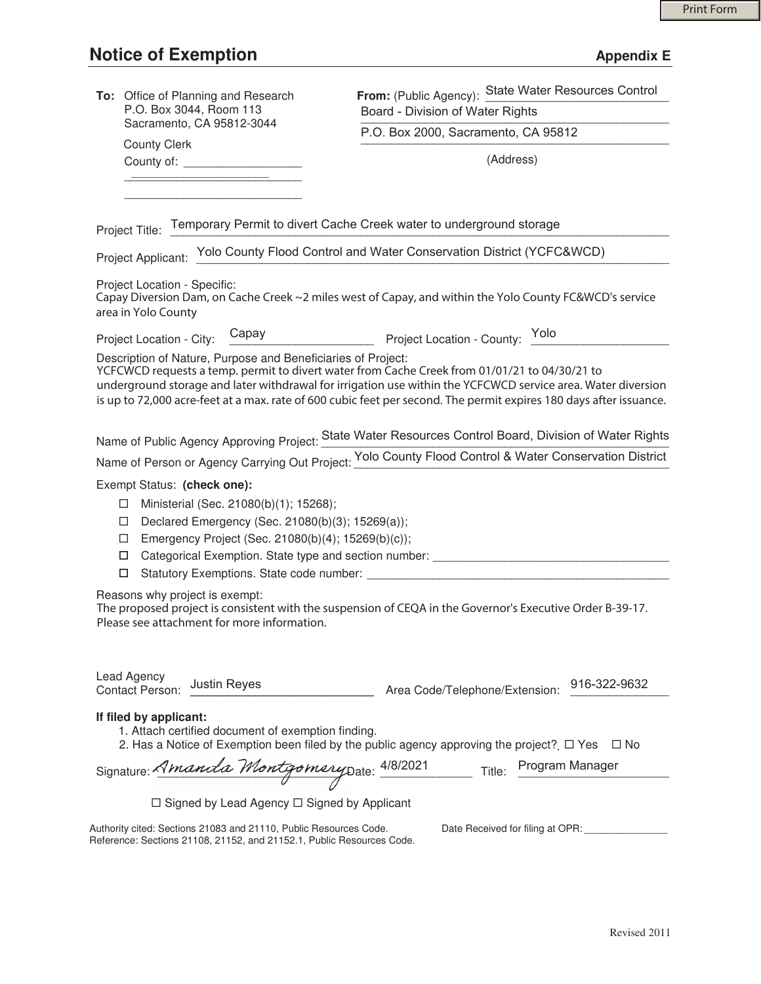## **Notice of Exemption Appendix E**

| To: Office of Planning and Research<br>P.O. Box 3044, Room 113<br>Sacramento, CA 95812-3044                                                                                                                                                                                                                                                                                                         | From: (Public Agency): State Water Resources Control                                                   |
|-----------------------------------------------------------------------------------------------------------------------------------------------------------------------------------------------------------------------------------------------------------------------------------------------------------------------------------------------------------------------------------------------------|--------------------------------------------------------------------------------------------------------|
|                                                                                                                                                                                                                                                                                                                                                                                                     | Board - Division of Water Rights                                                                       |
|                                                                                                                                                                                                                                                                                                                                                                                                     | P.O. Box 2000, Sacramento, CA 95812                                                                    |
| <b>County Clerk</b><br>County of: _______________________                                                                                                                                                                                                                                                                                                                                           | (Address)                                                                                              |
|                                                                                                                                                                                                                                                                                                                                                                                                     |                                                                                                        |
|                                                                                                                                                                                                                                                                                                                                                                                                     |                                                                                                        |
| Project Title: Temporary Permit to divert Cache Creek water to underground storage                                                                                                                                                                                                                                                                                                                  |                                                                                                        |
| Project Applicant: Yolo County Flood Control and Water Conservation District (YCFC&WCD)                                                                                                                                                                                                                                                                                                             |                                                                                                        |
| Project Location - Specific:<br>Capay Diversion Dam, on Cache Creek ~2 miles west of Capay, and within the Yolo County FC&WCD's service<br>area in Yolo County                                                                                                                                                                                                                                      |                                                                                                        |
| Project Location - City: Capay                                                                                                                                                                                                                                                                                                                                                                      | Project Location - County: Yolo                                                                        |
| Description of Nature, Purpose and Beneficiaries of Project:<br>YCFCWCD requests a temp. permit to divert water from Cache Creek from 01/01/21 to 04/30/21 to<br>underground storage and later withdrawal for irrigation use within the YCFCWCD service area. Water diversion<br>is up to 72,000 acre-feet at a max. rate of 600 cubic feet per second. The permit expires 180 days after issuance. |                                                                                                        |
| Name of Public Agency Approving Project: State Water Resources Control Board, Division of Water Rights                                                                                                                                                                                                                                                                                              |                                                                                                        |
|                                                                                                                                                                                                                                                                                                                                                                                                     | Name of Person or Agency Carrying Out Project: Yolo County Flood Control & Water Conservation District |
| Exempt Status: (check one):                                                                                                                                                                                                                                                                                                                                                                         |                                                                                                        |
| Ministerial (Sec. 21080(b)(1); 15268);<br>□                                                                                                                                                                                                                                                                                                                                                         |                                                                                                        |
| Declared Emergency (Sec. 21080(b)(3); 15269(a));<br>□<br>Emergency Project (Sec. 21080(b)(4); 15269(b)(c));<br>□                                                                                                                                                                                                                                                                                    |                                                                                                        |
| Categorical Exemption. State type and section number: ___________________________<br>$\Box$                                                                                                                                                                                                                                                                                                         |                                                                                                        |
| □                                                                                                                                                                                                                                                                                                                                                                                                   |                                                                                                        |
| Reasons why project is exempt:<br>The proposed project is consistent with the suspension of CEQA in the Governor's Executive Order B-39-17.<br>Please see attachment for more information.                                                                                                                                                                                                          |                                                                                                        |
| Lead Agency<br><b>Justin Reyes</b><br><b>Contact Person:</b>                                                                                                                                                                                                                                                                                                                                        | 916-322-9632<br>Area Code/Telephone/Extension:                                                         |
| If filed by applicant:<br>1. Attach certified document of exemption finding.<br>2. Has a Notice of Exemption been filed by the public agency approving the project?  I Yes<br>$\square$ No                                                                                                                                                                                                          |                                                                                                        |
| Signature: Amanda Montgomery Date: 4/8/2021 Title:                                                                                                                                                                                                                                                                                                                                                  | Program Manager                                                                                        |
| $\Box$ Signed by Lead Agency $\Box$ Signed by Applicant                                                                                                                                                                                                                                                                                                                                             |                                                                                                        |
| Authority cited: Sections 21083 and 21110, Public Resources Code.                                                                                                                                                                                                                                                                                                                                   | Date Received for filing at OPR:                                                                       |
| Reference: Sections 21108, 21152, and 21152.1, Public Resources Code.                                                                                                                                                                                                                                                                                                                               |                                                                                                        |